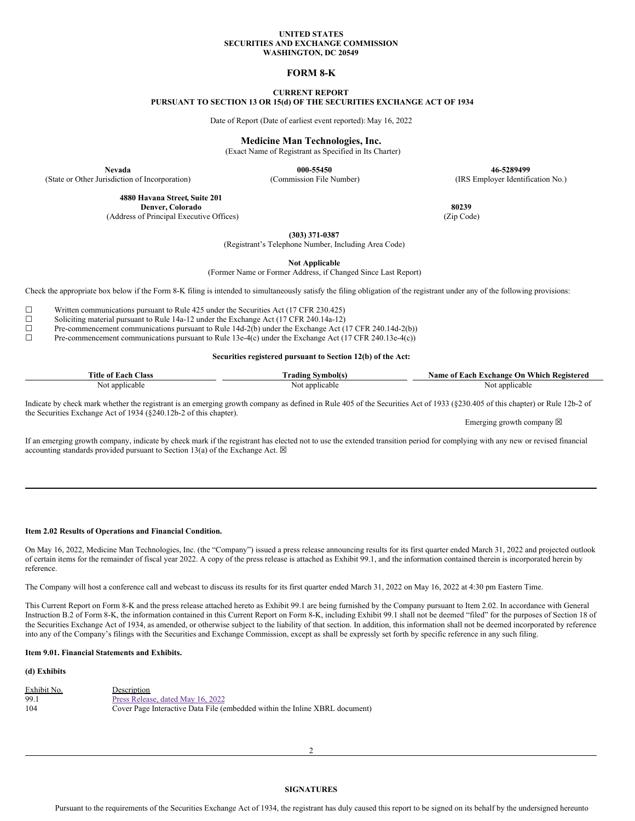#### **UNITED STATES SECURITIES AND EXCHANGE COMMISSION WASHINGTON, DC 20549**

# **FORM 8-K**

# **CURRENT REPORT**

**PURSUANT TO SECTION 13 OR 15(d) OF THE SECURITIES EXCHANGE ACT OF 1934**

Date of Report (Date of earliest event reported): May 16, 2022

# **Medicine Man Technologies, Inc.**

(Exact Name of Registrant as Specified in Its Charter)

**Nevada 000-55450 46-5289499** (State or Other Jurisdiction of Incorporation) (Commission File Number) (IRS Employer Identification No.)

> **4880 Havana Street, Suite 201 Denver, Colorado 80239**<br> **80239 (Zip Code) 80239 (Zip Code) 80239**

(Address of Principal Executive Offices)

**(303) 371-0387**

(Registrant's Telephone Number, Including Area Code)

**Not Applicable**

(Former Name or Former Address, if Changed Since Last Report)

Check the appropriate box below if the Form 8-K filing is intended to simultaneously satisfy the filing obligation of the registrant under any of the following provisions:

 $\Box$  Written communications pursuant to Rule 425 under the Securities Act (17 CFR 230.425) Soliciting material pursuant to Rule 14a-12 under the Exchange Act (17 CFR 240.14a-12)

<del>□</del> Soliciting material pursuant to Rule 14a-12 under the Exchange Act (17 CFR 240.14a-12)<br>Pre-commencement communications pursuant to Rule 14d-2(b) under the Exchange Act (1

 $\Box$  Pre-commencement communications pursuant to Rule 14d-2(b) under the Exchange Act (17 CFR 240.14d-2(b))<br>Pre-commencement communications pursuant to Rule 13e-4(c) under the Exchange Act (17 CFR 240.13e-4(c)) Pre-commencement communications pursuant to Rule 13e-4(c) under the Exchange Act (17 CFR 240.13e-4(c))

#### **Securities registered pursuant to Section 12(b) of the Act:**

| <b></b><br>l`itle of<br>Class<br>Each | Symbol(s<br>radıng | Which<br><b>Registered</b><br>Name<br>Exchange On<br>Aacr.<br>: 01 |
|---------------------------------------|--------------------|--------------------------------------------------------------------|
| t applicable.                         | applicable         | applicable                                                         |
| NOL.                                  |                    | N                                                                  |

Indicate by check mark whether the registrant is an emerging growth company as defined in Rule 405 of the Securities Act of 1933 (§230.405 of this chapter) or Rule 12b-2 of the Securities Exchange Act of 1934 (§240.12b-2 of this chapter).

Emerging growth company  $\boxtimes$ 

If an emerging growth company, indicate by check mark if the registrant has elected not to use the extended transition period for complying with any new or revised financial accounting standards provided pursuant to Section 13(a) of the Exchange Act.  $\boxtimes$ 

# **Item 2.02 Results of Operations and Financial Condition.**

On May 16, 2022, Medicine Man Technologies, Inc. (the "Company") issued a press release announcing results for its first quarter ended March 31, 2022 and projected outlook of certain items for the remainder of fiscal year 2022. A copy of the press release is attached as Exhibit 99.1, and the information contained therein is incorporated herein by reference.

The Company will host a conference call and webcast to discuss its results for its first quarter ended March 31, 2022 on May 16, 2022 at 4:30 pm Eastern Time.

This Current Report on Form 8-K and the press release attached hereto as Exhibit 99.1 are being furnished by the Company pursuant to Item 2.02. In accordance with General Instruction B.2 of Form 8-K, the information contained in this Current Report on Form 8-K, including Exhibit 99.1 shall not be deemed "filed" for the purposes of Section 18 of the Securities Exchange Act of 1934, as amended, or otherwise subject to the liability of that section. In addition, this information shall not be deemed incorporated by reference into any of the Company's filings with the Securities and Exchange Commission, except as shall be expressly set forth by specific reference in any such filing.

# **Item 9.01. Financial Statements and Exhibits.**

# **(d) Exhibits**

| Exhibit No. | Description                                                                 |
|-------------|-----------------------------------------------------------------------------|
| 99.1        | Press Release, dated May 16, 2022                                           |
| 104         | Cover Page Interactive Data File (embedded within the Inline XBRL document) |

#### **SIGNATURES**

Pursuant to the requirements of the Securities Exchange Act of 1934, the registrant has duly caused this report to be signed on its behalf by the undersigned hereunto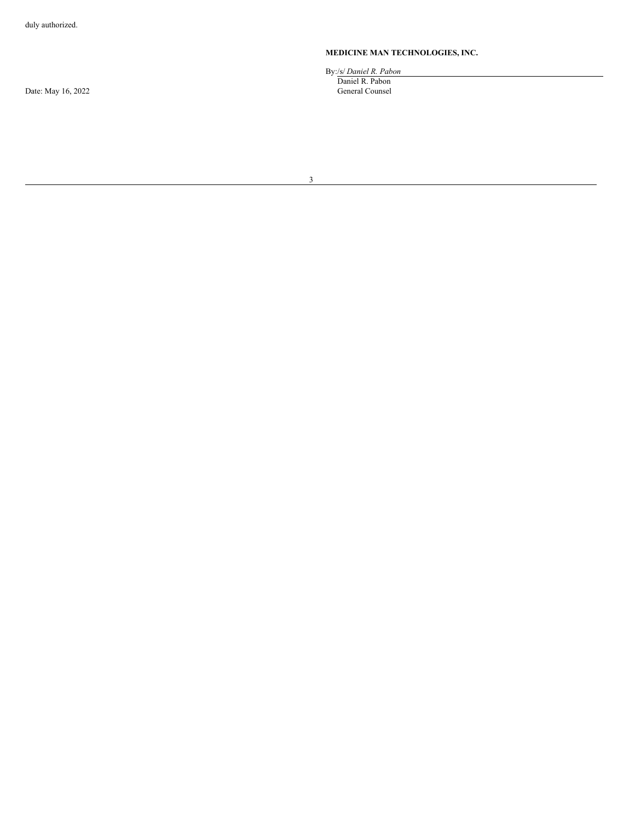Date: May 16, 2022

# **MEDICINE MAN TECHNOLOGIES, INC.**

By:/s/ *Daniel R. Pabon* Daniel R. Pabon General Counsel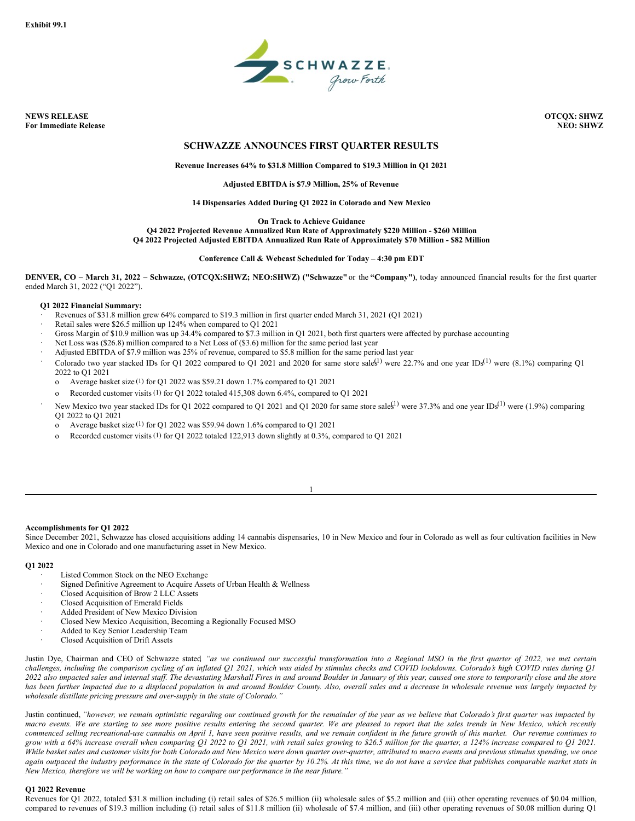

**NEWS RELEASE OTCQX: SHWZ For Immediate Release NEO: SHWZ**

# **SCHWAZZE ANNOUNCES FIRST QUARTER RESULTS**

# **Revenue Increases 64% to \$31.8 Million Compared to \$19.3 Million in Q1 2021**

# **Adjusted EBITDA is \$7.9 Million, 25% of Revenue**

#### **14 Dispensaries Added During Q1 2022 in Colorado and New Mexico**

**On Track to Achieve Guidance**

**Q4 2022 Projected Revenue Annualized Run Rate of Approximately \$220 Million - \$260 Million Q4 2022 Projected Adjusted EBITDA Annualized Run Rate of Approximately \$70 Million - \$82 Million**

**Conference Call & Webcast Scheduled for Today – 4:30 pm EDT**

DENVER, CO - March 31, 2022 - Schwazze, (OTCOX:SHWZ; NEO:SHWZ) ("Schwazze" or the "Company"), today announced financial results for the first quarter ended March 31, 2022 ("Q1 2022").

# **Q1 2022 Financial Summary:**

- · Revenues of \$31.8 million grew 64% compared to \$19.3 million in first quarter ended March 31, 2021 (Q1 2021)
- Retail sales were \$26.5 million up 124% when compared to O1 2021
- Gross Margin of \$10.9 million was up 34.4% compared to \$7.3 million in Q1 2021, both first quarters were affected by purchase accounting
- Net Loss was (\$26.8) million compared to a Net Loss of (\$3.6) million for the same period last year
- Adjusted EBITDA of \$7.9 million was 25% of revenue, compared to \$5.8 million for the same period last year
- Colorado two year stacked IDs for Q1 2022 compared to Q1 2021 and 2020 for same store sales<sup>(1)</sup> were 22.7% and one year IDs<sup>(1)</sup> were  $(8.1\%)$  comparing Q1 2022 to Q1 2021
	- o Average basket size (1) for Q1 2022 was \$59.21 down 1.7% compared to Q1 2021
	- o Recorded customer visits (1) for Q1 2022 totaled 415,308 down 6.4%, compared to Q1 2021
- New Mexico two year stacked IDs for Q1 2022 compared to Q1 2021 and Q1 2020 for same store sales<sup>[1]</sup> were 37.3% and one year IDs<sup>(1)</sup> were (1.9%) comparing
	- Q1 2022 to Q1 2021 o Average basket size (1) for Q1 2022 was \$59.94 down 1.6% compared to Q1 2021
	- o Recorded customer visits (1) for Q1 2022 totaled 122,913 down slightly at 0.3%, compared to Q1 2021

## **Accomplishments for Q1 2022**

Since December 2021, Schwazze has closed acquisitions adding 14 cannabis dispensaries, 10 in New Mexico and four in Colorado as well as four cultivation facilities in New Mexico and one in Colorado and one manufacturing asset in New Mexico.

1

#### **Q1 2022**

- Listed Common Stock on the NEO Exchange
- Signed Definitive Agreement to Acquire Assets of Urban Health & Wellness
- · Closed Acquisition of Brow 2 LLC Assets
- · Closed Acquisition of Emerald Fields
- Added President of New Mexico Division
- · Closed New Mexico Acquisition, Becoming a Regionally Focused MSO
- Added to Key Senior Leadership Team
- Closed Acquisition of Drift Assets

Justin Dye, Chairman and CEO of Schwazze stated "as we continued our successful transformation into a Regional MSO in the first quarter of 2022, we met certain challenges, including the comparison cycling of an inflated Q1 2021, which was aided by stimulus checks and COVID lockdowns. Colorado's high COVID rates during Q1 2022 also impacted sales and internal staff. The devastating Marshall Fires in and around Boulder in January of this year, caused one store to temporarily close and the store has been further impacted due to a displaced population in and around Boulder County. Also, overall sales and a decrease in wholesale revenue was largely impacted by *wholesale distillate pricing pressure and over-supply in the state of Colorado."*

Justin continued, "however, we remain optimistic regarding our continued growth for the remainder of the year as we believe that Colorado's first quarter was impacted by macro events. We are starting to see more positive results entering the second quarter. We are pleased to report that the sales trends in New Mexico, which recently commenced selling recreational-use cannabis on April 1, have seen positive results, and we remain confident in the future growth of this market. Our revenue continues to grow with a 64% increase overall when comparing Q1 2022 to Q1 2021, with retail sales growing to \$26.5 million for the quarter, a 124% increase compared to Q1 2021. While basket sales and customer visits for both Colorado and New Mexico were down quarter over-quarter, attributed to macro events and previous stimulus spending, we once again outpaced the industry performance in the state of Colorado for the quarter by 10.2%. At this time, we do not have a service that publishes comparable market stats in *New Mexico, therefore we will be working on how to compare our performance in the near future."*

# **Q1 2022 Revenue**

Revenues for Q1 2022, totaled \$31.8 million including (i) retail sales of \$26.5 million (ii) wholesale sales of \$5.2 million and (iii) other operating revenues of \$0.04 million, compared to revenues of \$19.3 million including (i) retail sales of \$11.8 million (ii) wholesale of \$7.4 million, and (iii) other operating revenues of \$0.08 million during Q1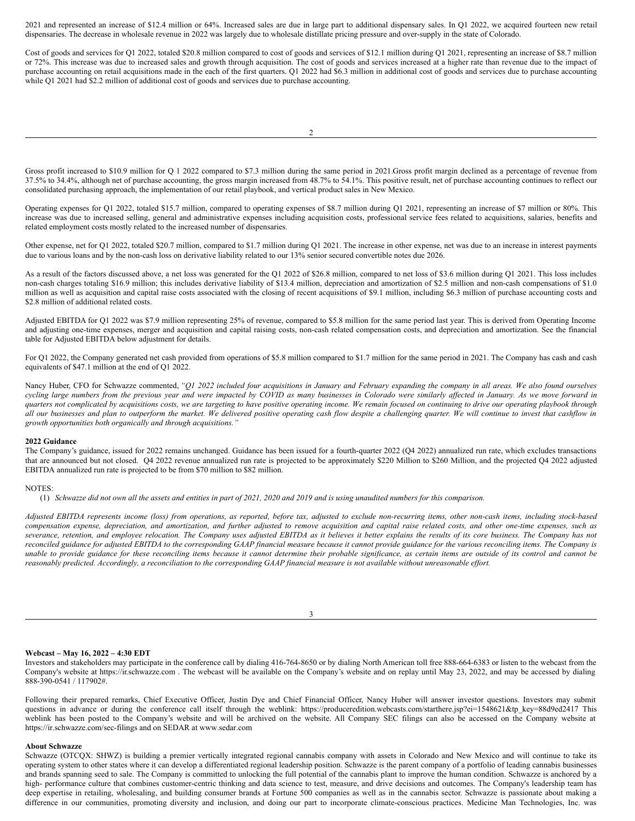2021 and represented an increase of \$12.4 million or 64%. Increased sales are due in large part to additional dispensary sales. In Q1 2022, we acquired fourteen new retail dispensaries. The decrease in wholesale revenue in 2022 was largely due to wholesale distillate pricing pressure and over-supply in the state of Colorado.

Cost of goods and services for Q1 2022, totaled \$20.8 million compared to cost of goods and services of \$12.1 million during Q1 2021, representing an increase of \$8.7 million or 72%. This increase was due to increased sales and growth through acquisition. The cost of goods and services increased at a higher rate than revenue due to the impact of purchase accounting on retail acquisitions made in the each of the first quarters. Q1 2022 had \$6.3 million in additional cost of goods and services due to purchase accounting while Q1 2021 had \$2.2 million of additional cost of goods and services due to purchase accounting.

2

Gross profit increased to \$10.9 million for Q 1 2022 compared to \$7.3 million during the same period in 2021.Gross profit margin declined as a percentage of revenue from 37.5% to 34.4%, although net of purchase accounting, the gross margin increased from 48.7% to 54.1%. This positive result, net of purchase accounting continues to reflect our consolidated purchasing approach, the implementation of our retail playbook, and vertical product sales in New Mexico.

Operating expenses for Q1 2022, totaled \$15.7 million, compared to operating expenses of \$8.7 million during Q1 2021, representing an increase of \$7 million or 80%. This increase was due to increased selling, general and administrative expenses including acquisition costs, professional service fees related to acquisitions, salaries, benefits and related employment costs mostly related to the increased number of dispensaries.

Other expense, net for Q1 2022, totaled \$20.7 million, compared to \$1.7 million during Q1 2021. The increase in other expense, net was due to an increase in interest payments due to various loans and by the non-cash loss on derivative liability related to our 13% senior secured convertible notes due 2026.

As a result of the factors discussed above, a net loss was generated for the Q1 2022 of \$26.8 million, compared to net loss of \$3.6 million during Q1 2021. This loss includes non-cash charges totaling \$16.9 million; this includes derivative liability of \$13.4 million, depreciation and amortization of \$2.5 million and non-cash compensations of \$1.0 million as well as acquisition and capital raise costs associated with the closing of recent acquisitions of \$9.1 million, including \$6.3 million of purchase accounting costs and \$2.8 million of additional related costs.

Adjusted EBITDA for Q1 2022 was \$7.9 million representing 25% of revenue, compared to \$5.8 million for the same period last year. This is derived from Operating Income and adjusting one-time expenses, merger and acquisition and capital raising costs, non-cash related compensation costs, and depreciation and amortization. See the financial table for Adjusted EBITDA below adjustment for details.

For Q1 2022, the Company generated net cash provided from operations of \$5.8 million compared to \$1.7 million for the same period in 2021. The Company has cash and cash equivalents of \$47.1 million at the end of Q1 2022.

Nancy Huber, CFO for Schwazze commented, "Q1 2022 included four acquisitions in January and February expanding the company in all areas. We also found ourselves cycling large numbers from the previous year and were impacted by COVID as many businesses in Colorado were similarly affected in January. As we move forward in quarters not complicated by acquisitions costs, we are targeting to have positive operating income. We remain focused on continuing to drive our operating playbook through all our businesses and plan to outperform the market. We delivered positive operating cash flow despite a challenging quarter. We will continue to invest that cashflow in *growth opportunities both organically and through acquisitions."*

#### **2022 Guidance**

The Company's guidance, issued for 2022 remains unchanged. Guidance has been issued for a fourth-quarter 2022 (Q4 2022) annualized run rate, which excludes transactions that are announced but not closed. Q4 2022 revenue annualized run rate is projected to be approximately \$220 Million to \$260 Million, and the projected Q4 2022 adjusted EBITDA annualized run rate is projected to be from \$70 million to \$82 million.

# NOTES:

(1) Schwazze did not own all the assets and entities in part of  $2021$ ,  $2020$  and  $2019$  and is using unaudited numbers for this comparison.

Adjusted EBITDA represents income (loss) from operations, as reported, before tax, adjusted to exclude non-recurring items, other non-cash items, including stock-based compensation expense, depreciation, and amortization, and further adjusted to remove acquisition and capital raise related costs, and other one-time expenses, such as severance, retention, and employee relocation. The Company uses adjusted EBITDA as it believes it better explains the results of its core business. The Company has not reconciled guidance for adjusted EBITDA to the corresponding GAAP financial measure because it cannot provide guidance for the various reconciling items. The Company is unable to provide guidance for these reconciling items because it cannot determine their probable significance, as certain items are outside of its control and cannot be reasonably predicted. Accordingly, a reconciliation to the corresponding GAAP financial measure is not available without unreasonable effort.

3

#### **Webcast – May 16, 2022 – 4:30 EDT**

Investors and stakeholders may participate in the conference call by dialing 416-764-8650 or by dialing North American toll free 888-664-6383 or listen to the webcast from the Company's website at https://ir.schwazze.com . The webcast will be available on the Company's website and on replay until May 23, 2022, and may be accessed by dialing 888-390-0541 / 117902#.

Following their prepared remarks, Chief Executive Officer, Justin Dye and Chief Financial Officer, Nancy Huber will answer investor questions. Investors may submit questions in advance or during the conference call itself through the weblink: https://produceredition.webcasts.com/starthere.jsp?ei=1548621&tp\_key=88d9ed2417 This weblink has been posted to the Company's website and will be archived on the website. All Company SEC filings can also be accessed on the Company website at https://ir.schwazze.com/sec-filings and on SEDAR at www.sedar.com

#### **About Schwazze**

Schwazze (OTCQX: SHWZ) is building a premier vertically integrated regional cannabis company with assets in Colorado and New Mexico and will continue to take its operating system to other states where it can develop a differentiated regional leadership position. Schwazze is the parent company of a portfolio of leading cannabis businesses and brands spanning seed to sale. The Company is committed to unlocking the full potential of the cannabis plant to improve the human condition. Schwazze is anchored by a high- performance culture that combines customer-centric thinking and data science to test, measure, and drive decisions and outcomes. The Company's leadership team has deep expertise in retailing, wholesaling, and building consumer brands at Fortune 500 companies as well as in the cannabis sector. Schwazze is passionate about making a difference in our communities, promoting diversity and inclusion, and doing our part to incorporate climate-conscious practices. Medicine Man Technologies, Inc. was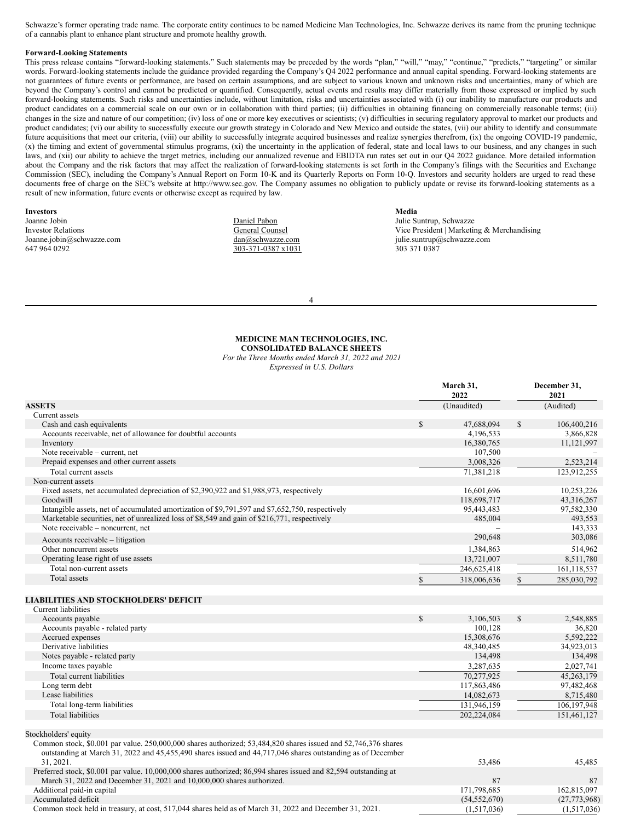<span id="page-4-0"></span>Schwazze's former operating trade name. The corporate entity continues to be named Medicine Man Technologies, Inc. Schwazze derives its name from the pruning technique of a cannabis plant to enhance plant structure and promote healthy growth.

#### **Forward-Looking Statements**

This press release contains "forward-looking statements." Such statements may be preceded by the words "plan," "will," "may," "continue," "predicts," "targeting" or similar words. Forward-looking statements include the guidance provided regarding the Company's Q4 2022 performance and annual capital spending. Forward-looking statements are not guarantees of future events or performance, are based on certain assumptions, and are subject to various known and unknown risks and uncertainties, many of which are beyond the Company's control and cannot be predicted or quantified. Consequently, actual events and results may differ materially from those expressed or implied by such forward-looking statements. Such risks and uncertainties include, without limitation, risks and uncertainties associated with (i) our inability to manufacture our products and product candidates on a commercial scale on our own or in collaboration with third parties; (ii) difficulties in obtaining financing on commercially reasonable terms; (iii) changes in the size and nature of our competition; (iv) loss of one or more key executives or scientists; (v) difficulties in securing regulatory approval to market our products and product candidates; (vi) our ability to successfully execute our growth strategy in Colorado and New Mexico and outside the states, (vii) our ability to identify and consummate future acquisitions that meet our criteria, (viii) our ability to successfully integrate acquired businesses and realize synergies therefrom, (ix) the ongoing COVID-19 pandemic, (x) the timing and extent of governmental stimulus programs, (xi) the uncertainty in the application of federal, state and local laws to our business, and any changes in such laws, and (xii) our ability to achieve the target metrics, including our annualized revenue and EBIDTA run rates set out in our Q4 2022 guidance. More detailed information about the Company and the risk factors that may affect the realization of forward-looking statements is set forth in the Company's filings with the Securities and Exchange Commission (SEC), including the Company's Annual Report on Form 10-K and its Quarterly Reports on Form 10-Q. Investors and security holders are urged to read these documents free of charge on the SEC's website at http://www.sec.gov. The Company assumes no obligation to publicly update or revise its forward-looking statements as a result of new information, future events or otherwise except as required by law.

| <b>Investors</b>          |
|---------------------------|
| Joanne Jobin              |
| <b>Investor Relations</b> |
| Joanne.jobin@schwazze.com |

647 964 0292

Daniel Pabon General Counsel dan@schwazze.com 303-371-0387 x1031

**Media** Julie Suntrup, Schwazze Vice President | Marketing & Merchandising julie.suntrup@schwazze.com 303 371 0387

**March 31, December 31,**

4

#### **MEDICINE MAN TECHNOLOGIES, INC. CONSOLIDATED BALANCE SHEETS**

# *For the Three Months ended March 31, 2022 and 2021 Expressed in U.S. Dollars*

|                                                                                                                  |              | 2022        |              | 2021         |
|------------------------------------------------------------------------------------------------------------------|--------------|-------------|--------------|--------------|
| <b>ASSETS</b>                                                                                                    |              | (Unaudited) |              | (Audited)    |
| Current assets                                                                                                   |              |             |              |              |
| Cash and cash equivalents                                                                                        | $\mathbb{S}$ | 47,688,094  | $\mathbb{S}$ | 106,400,216  |
| Accounts receivable, net of allowance for doubtful accounts                                                      |              | 4,196,533   |              | 3,866,828    |
| Inventory                                                                                                        |              | 16,380,765  |              | 11, 121, 997 |
| Note receivable - current, net                                                                                   |              | 107,500     |              |              |
| Prepaid expenses and other current assets                                                                        |              | 3,008,326   |              | 2,523,214    |
| Total current assets                                                                                             |              | 71,381,218  |              | 123,912,255  |
| Non-current assets                                                                                               |              |             |              |              |
| Fixed assets, net accumulated depreciation of \$2,390,922 and \$1,988,973, respectively                          |              | 16,601,696  |              | 10,253,226   |
| Goodwill                                                                                                         |              | 118,698,717 |              | 43,316,267   |
| Intangible assets, net of accumulated amortization of \$9,791,597 and \$7,652,750, respectively                  |              | 95,443,483  |              | 97,582,330   |
| Marketable securities, net of unrealized loss of \$8,549 and gain of \$216,771, respectively                     |              | 485,004     |              | 493,553      |
| Note receivable – noncurrent, net                                                                                |              |             |              | 143,333      |
| Accounts receivable – litigation                                                                                 |              | 290,648     |              | 303,086      |
| Other noncurrent assets                                                                                          |              | 1,384,863   |              | 514,962      |
| Operating lease right of use assets                                                                              |              | 13,721,007  |              | 8,511,780    |
| Total non-current assets                                                                                         |              | 246,625,418 |              | 161,118,537  |
| Total assets                                                                                                     | \$           | 318,006,636 | \$           | 285,030,792  |
|                                                                                                                  |              |             |              |              |
| <b>LIABILITIES AND STOCKHOLDERS' DEFICIT</b>                                                                     |              |             |              |              |
| Current liabilities                                                                                              |              |             |              |              |
| Accounts payable                                                                                                 | $\mathbb{S}$ | 3,106,503   | \$           | 2,548,885    |
| Accounts payable - related party                                                                                 |              | 100,128     |              | 36,820       |
| Accrued expenses                                                                                                 |              | 15,308,676  |              | 5,592,222    |
| Derivative liabilities                                                                                           |              | 48,340,485  |              | 34,923,013   |
| Notes payable - related party                                                                                    |              | 134,498     |              | 134,498      |
| Income taxes payable                                                                                             |              | 3,287,635   |              | 2,027,741    |
| Total current liabilities                                                                                        |              | 70,277,925  |              | 45,263,179   |
| Long term debt                                                                                                   |              | 117,863,486 |              | 97,482,468   |
| Lease liabilities                                                                                                |              | 14,082,673  |              | 8,715,480    |
| Total long-term liabilities                                                                                      |              | 131,946,159 |              | 106,197,948  |
| <b>Total liabilities</b>                                                                                         |              | 202,224,084 |              | 151,461,127  |
|                                                                                                                  |              |             |              |              |
| Stockholders' equity                                                                                             |              |             |              |              |
| Common stock, \$0.001 par value. 250,000,000 shares authorized; 53,484,820 shares issued and 52,746,376 shares   |              |             |              |              |
| outstanding at March 31, 2022 and 45,455,490 shares issued and 44,717,046 shares outstanding as of December      |              |             |              |              |
| 31, 2021.                                                                                                        |              | 53,486      |              | 45,485       |
| Preferred stock, \$0.001 par value. 10,000,000 shares authorized; 86,994 shares issued and 82,594 outstanding at |              |             |              |              |
| March 31, 2022 and December 31, 2021 and 10,000,000 shares authorized.                                           |              | 87          |              | 87           |
| Additional paid-in capital                                                                                       |              | 171,798,685 |              | 162,815,097  |

Accumulated deficit (54,552,670) (27,773,968)

Common stock held in treasury, at cost, 517,044 shares held as of March 31, 2022 and December 31, 2021. (1,517,036) (1,517,036)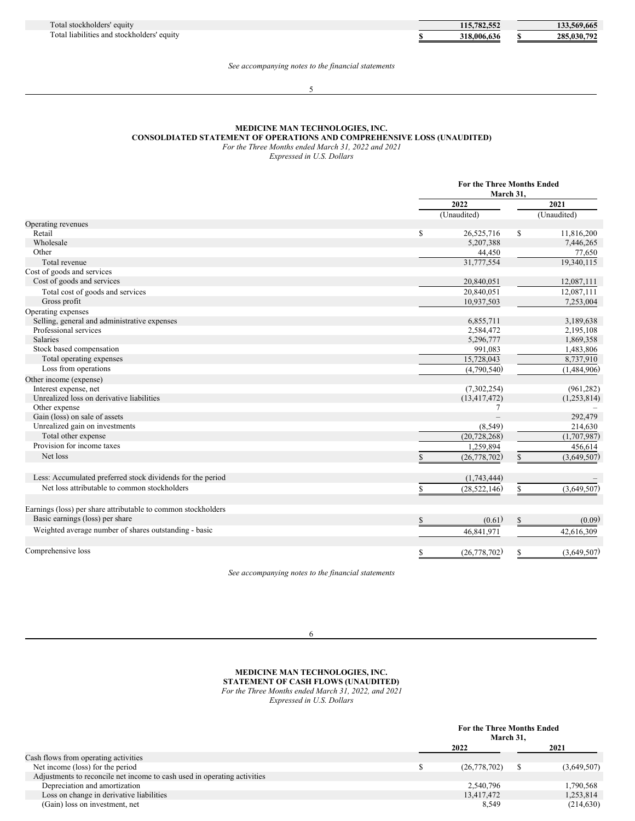| 115,782,552 | 133,569,665 |
|-------------|-------------|
| 318,006,636 | 285,030,792 |

## *See accompanying notes to the financial statements*

### 5

# **MEDICINE MAN TECHNOLOGIES, INC.**

**CONSOLDIATED STATEMENT OF OPERATIONS AND COMPREHENSIVE LOSS (UNAUDITED)**

*For the Three Months ended March 31, 2022 and 2021*

*Expressed in U.S. Dollars*

|                                                               |                      | <b>For the Three Months Ended</b><br>March 31, |  |
|---------------------------------------------------------------|----------------------|------------------------------------------------|--|
|                                                               | 2022                 | 2021                                           |  |
|                                                               | (Unaudited)          | (Unaudited)                                    |  |
| Operating revenues                                            |                      |                                                |  |
| Retail                                                        | \$<br>26,525,716     | \$<br>11,816,200                               |  |
| Wholesale                                                     | 5,207,388            | 7,446,265                                      |  |
| Other                                                         | 44,450               | 77,650                                         |  |
| Total revenue                                                 | 31,777,554           | 19,340,115                                     |  |
| Cost of goods and services                                    |                      |                                                |  |
| Cost of goods and services                                    | 20,840,051           | 12,087,111                                     |  |
| Total cost of goods and services                              | 20,840,051           | 12,087,111                                     |  |
| Gross profit                                                  | 10,937,503           | 7,253,004                                      |  |
| Operating expenses                                            |                      |                                                |  |
| Selling, general and administrative expenses                  | 6,855,711            | 3,189,638                                      |  |
| Professional services                                         | 2,584,472            | 2,195,108                                      |  |
| <b>Salaries</b>                                               | 5,296,777            | 1,869,358                                      |  |
| Stock based compensation                                      | 991,083              | 1,483,806                                      |  |
| Total operating expenses                                      | 15,728,043           | 8,737,910                                      |  |
| Loss from operations                                          | (4,790,540)          | (1,484,906)                                    |  |
| Other income (expense)                                        |                      |                                                |  |
| Interest expense, net                                         | (7,302,254)          | (961, 282)                                     |  |
| Unrealized loss on derivative liabilities                     | (13, 417, 472)       | (1,253,814)                                    |  |
| Other expense                                                 | 7                    |                                                |  |
| Gain (loss) on sale of assets                                 |                      | 292,479                                        |  |
| Unrealized gain on investments                                | (8, 549)             | 214,630                                        |  |
| Total other expense                                           | (20, 728, 268)       | (1,707,987)                                    |  |
| Provision for income taxes                                    | 1,259,894            | 456,614                                        |  |
| Net loss                                                      | (26, 778, 702)       | (3,649,507)<br>$\mathbf S$                     |  |
| Less: Accumulated preferred stock dividends for the period    | (1,743,444)          |                                                |  |
| Net loss attributable to common stockholders                  |                      |                                                |  |
|                                                               | \$<br>(28, 522, 146) | (3,649,507)<br>\$                              |  |
| Earnings (loss) per share attributable to common stockholders |                      |                                                |  |
| Basic earnings (loss) per share                               | (0.61)               | (0.09)                                         |  |
| Weighted average number of shares outstanding - basic         | 46,841,971           | 42,616,309                                     |  |
| Comprehensive loss                                            | (26, 778, 702)<br>\$ | (3,649,507)<br>\$                              |  |

*See accompanying notes to the financial statements*

6

# **MEDICINE MAN TECHNOLOGIES, INC. STATEMENT OF CASH FLOWS (UNAUDITED)** *For the Three Months ended March 31, 2022, and 2021*

*Expressed in U.S. Dollars*

|                                                                          | <b>For the Three Months Ended</b><br>March 31, |  |             |
|--------------------------------------------------------------------------|------------------------------------------------|--|-------------|
|                                                                          | 2022                                           |  | 2021        |
| Cash flows from operating activities                                     |                                                |  |             |
| Net income (loss) for the period                                         | (26,778,702)                                   |  | (3,649,507) |
| Adjustments to reconcile net income to cash used in operating activities |                                                |  |             |
| Depreciation and amortization                                            | 2,540,796                                      |  | 1,790,568   |
| Loss on change in derivative liabilities                                 | 13.417.472                                     |  | 1,253,814   |
| (Gain) loss on investment, net                                           | 8,549                                          |  | (214, 630)  |